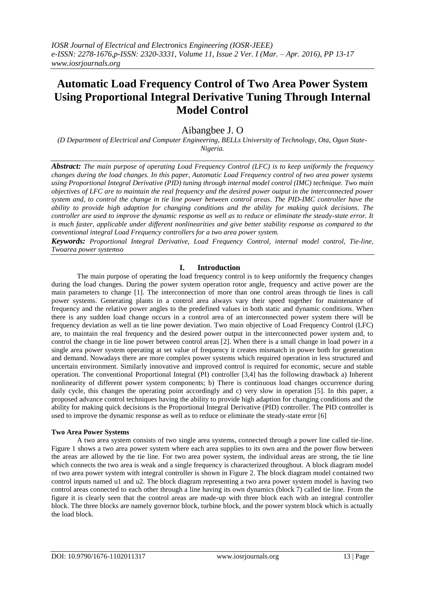# **Automatic Load Frequency Control of Two Area Power System Using Proportional Integral Derivative Tuning Through Internal Model Control**

# Aibangbee J. O

*(D Department of Electrical and Computer Engineering, BELLs University of Technology, Ota, Ogun State-Nigeria.*

*Abstract: The main purpose of operating Load Frequency Control (LFC) is to keep uniformly the frequency changes during the load changes. In this paper, Automatic Load Frequency control of two area power systems using Proportional Integral Derivative (PID) tuning through internal model control (IMC) technique. Two main objectives of LFC are to maintain the real frequency and the desired power output in the interconnected power system and, to control the change in tie line power between control areas. The PID-IMC controller have the ability to provide high adaption for changing conditions and the ability for making quick decisions. The controller are used to improve the dynamic response as well as to reduce or eliminate the steady-state error. It is much faster, applicable under different nonlinearities and give better stability response as compared to the conventional integral Load Frequency controllers for a two area power system.* 

*Keywords: Proportional Integral Derivative, Load Frequency Control, internal model control, Tie-line, Twoarea power systemso*

# **I. Introduction**

The main purpose of operating the load frequency control is to keep uniformly the frequency changes during the load changes. During the power system operation rotor angle, frequency and active power are the main parameters to change [1]. The interconnection of more than one control areas through tie lines is call power systems. Generating plants in a control area always vary their speed together for maintenance of frequency and the relative power angles to the predefined values in both static and dynamic conditions. When there is any sudden load change occurs in a control area of an interconnected power system there will be frequency deviation as well as tie line power deviation. Two main objective of Load Frequency Control (LFC) are, to maintain the real frequency and the desired power output in the interconnected power system and, to control the change in tie line power between control areas [2]. When there is a small change in load power in a single area power system operating at set value of frequency it creates mismatch in power both for generation and demand. Nowadays there are more complex power systems which required operation in less structured and uncertain environment. Similarly innovative and improved control is required for economic, secure and stable operation. The conventional Proportional Integral (PI) controller [3,4] has the following drawback a) Inherent nonlinearity of different power system components; b) There is continuous load changes occurrence during daily cycle, this changes the operating point accordingly and c) very slow in operation [5]. In this paper, a proposed advance control techniques having the ability to provide high adaption for changing conditions and the ability for making quick decisions is the Proportional Integral Derivative (PID) controller. The PID controller is used to improve the dynamic response as well as to reduce or eliminate the steady-state error [6]

## **Two Area Power Systems**

A two area system consists of two single area systems, connected through a power line called tie-line. Figure 1 shows a two area power system where each area supplies to its own area and the power flow between the areas are allowed by the tie line. For two area power system, the individual areas are strong, the tie line which connects the two area is weak and a single frequency is characterized throughout. A block diagram model of two area power system with integral controller is shown in Figure 2. The block diagram model contained two control inputs named u1 and u2. The block diagram representing a two area power system model is having two control areas connected to each other through a line having its own dynamics (block 7) called tie line. From the figure it is clearly seen that the control areas are made-up with three block each with an integral controller block. The three blocks are namely governor block, turbine block, and the power system block which is actually the load block.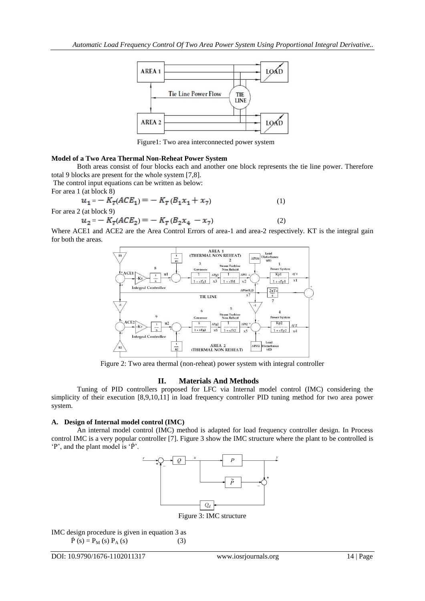

Figure1: Two area interconnected power system

#### **Model of a Two Area Thermal Non-Reheat Power System**

Both areas consist of four blocks each and another one block represents the tie line power. Therefore total 9 blocks are present for the whole system [7,8].

The control input equations can be written as below:

For area 1 (at block 8)

$$
u_1 = -K_T (ACE_1) = -K_T (B_1 x_1 + x_7)
$$
  
For area 2 (at block 9) (1)

For area 2 (at block 9)

$$
u_2 = -K_T (ACE_2) = -K_T (B_2 x_4 - x_7)
$$
\n(2)

Where ACE1 and ACE2 are the Area Control Errors of area-1 and area-2 respectively. KT is the integral gain for both the areas.



Figure 2: Two area thermal (non-reheat) power system with integral controller

### **II. Materials And Methods**

Tuning of PID controllers proposed for LFC via Internal model control (IMC) considering the simplicity of their execution [8,9,10,11] in load frequency controller PID tuning method for two area power system.

#### **A. Design of Internal model control (IMC)**

An internal model control (IMC) method is adapted for load frequency controller design. In Process control IMC is a very popular controller [7]. Figure 3 show the IMC structure where the plant to be controlled is  $\dot{P}$ , and the plant model is  $\dot{P}$ .



Figure 3: IMC structure

IMC design procedure is given in equation 3 as  $\dot{P}(s) = P_M(s) P_A(s)$  (3)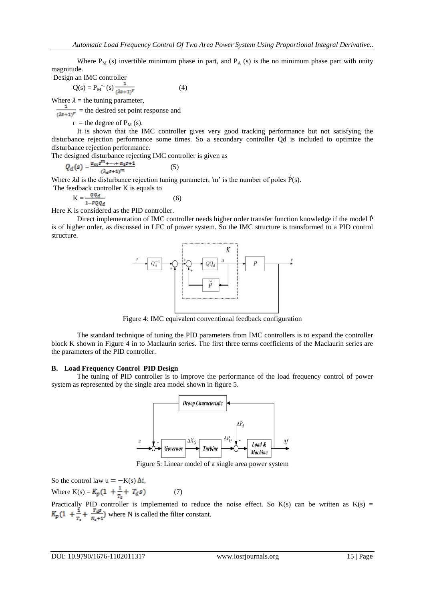Where  $P_M$  (s) invertible minimum phase in part, and  $P_A$  (s) is the no minimum phase part with unity magnitude.

Design an IMC controller

$$
Q(s) = P_M^{-1}(s) \frac{1}{(\lambda s + 1)^r}
$$
 (4)

Where  $\lambda$  = the tuning parameter,

 $\frac{1}{(2s+1)^r}$  = the desired set point response and

 $r =$  the degree of  $P_M$  (s).

It is shown that the IMC controller gives very good tracking performance but not satisfying the disturbance rejection performance some times. So a secondary controller Qd is included to optimize the disturbance rejection performance.

The designed disturbance rejecting IMC controller is given as

$$
Q_d(s) = \frac{\alpha_m s^{m} + \dots + \alpha_1 s + 1}{(\lambda_d s + 1)^m} \tag{5}
$$

Where  $\lambda d$  is the disturbance rejection tuning parameter, 'm' is the number of poles  $\dot{P}(s)$ .<br>The feedback controller K is equals to

edback controller K is equals to 
$$
V
$$

$$
f_{\rm{max}}
$$

 $K = \frac{V \times d}{1 - PQQ_d}$  (6) Here K is considered as the PID controller.

Direct implementation of IMC controller needs higher order transfer function knowledge if the model P is of higher order, as discussed in LFC of power system. So the IMC structure is transformed to a PID control structure.



Figure 4: IMC equivalent conventional feedback configuration

The standard technique of tuning the PID parameters from IMC controllers is to expand the controller block K shown in Figure 4 in to Maclaurin series. The first three terms coefficients of the Maclaurin series are the parameters of the PID controller.

#### **B. Load Frequency Control PID Design**

The tuning of PID controller is to improve the performance of the load frequency control of power system as represented by the single area model shown in figure 5.



Figure 5: Linear model of a single area power system

So the control law  $u = -K(s) \Delta f$ , Where  $K(s) = K_p(1 + \frac{1}{T_s} + T_d s)$  (7)

Practically PID controller is implemented to reduce the noise effect. So  $K(s)$  can be written as  $K(s)$  = where N is called the filter constant.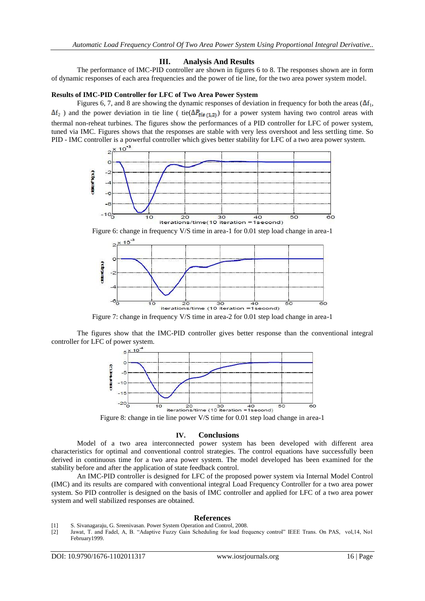#### **III. Analysis And Results**

The performance of IMC-PID controller are shown in figures 6 to 8. The responses shown are in form of dynamic responses of each area frequencies and the power of tie line, for the two area power system model.

#### **Results of IMC-PID Controller for LFC of Two Area Power System**

Figures 6, 7, and 8 are showing the dynamic responses of deviation in frequency for both the areas ( $\Delta f_1$ ,  $\Delta f_2$ ) and the power deviation in tie line ( tie( $\Delta P_{\text{tie}(1,2)}$ ) for a power system having two control areas with thermal non-reheat turbines. The figures show the performances of a PID controller for LFC of power system, tuned via IMC. Figures shows that the responses are stable with very less overshoot and less settling time. So PID - IMC controller is a powerful controller which gives better stability for LFC of a two area power system.



Figure 6: change in frequency V/S time in area-1 for 0.01 step load change in area-1



Figure 7: change in frequency V/S time in area-2 for 0.01 step load change in area-1

The figures show that the IMC-PID controller gives better response than the conventional integral controller for LFC of power system.



Figure 8: change in tie line power V/S time for 0.01 step load change in area-1

#### **IV. Conclusions**

Model of a two area interconnected power system has been developed with different area characteristics for optimal and conventional control strategies. The control equations have successfully been derived in continuous time for a two area power system. The model developed has been examined for the stability before and after the application of state feedback control.

An IMC-PID controller is designed for LFC of the proposed power system via Internal Model Control (IMC) and its results are compared with conventional integral Load Frequency Controller for a two area power system. So PID controller is designed on the basis of IMC controller and applied for LFC of a two area power system and well stabilized responses are obtained.

#### **References**

- [1] S. Sivanagaraju, G. Sreenivasan. Power System Operation and Control, 2008.
- [2] Jawat, T. and Fadel, A, B. "Adaptive Fuzzy Gain Scheduling for load frequency control" IEEE Trans. On PAS, vol,14, No1 February1999.